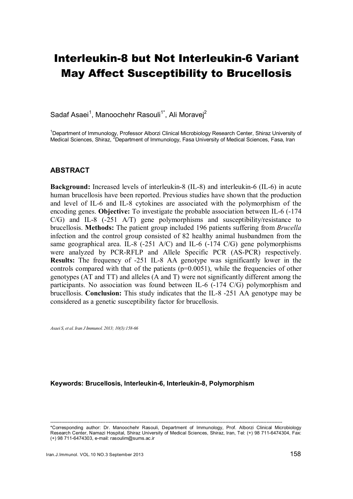# Interleukin-8 but Not Interleukin-6 Variant May Affect Susceptibility to Brucellosis

Sadaf Asaei<sup>1</sup>, Manoochehr Rasouli<sup>1\*</sup>, Ali Moravej<sup>2</sup>

<sup>1</sup>Department of Immunology, Professor Alborzi Clinical Microbiology Research Center, Shiraz University of Medical Sciences, Shiraz, <sup>2</sup>Department of Immunology, Fasa University of Medical Sciences, Fasa, Iran

#### ABSTRACT

Background: Increased levels of interleukin-8 (IL-8) and interleukin-6 (IL-6) in acute human brucellosis have been reported. Previous studies have shown that the production and level of IL-6 and IL-8 cytokines are associated with the polymorphism of the encoding genes. Objective: To investigate the probable association between IL-6 (-174 C/G) and IL-8 (-251 A/T) gene polymorphisms and susceptibility/resistance to brucellosis. Methods: The patient group included 196 patients suffering from *Brucella* infection and the control group consisted of 82 healthy animal husbandmen from the same geographical area. IL-8 (-251 A/C) and IL-6 (-174 C/G) gene polymorphisms were analyzed by PCR-RFLP and Allele Specific PCR (AS-PCR) respectively. Results: The frequency of -251 IL-8 AA genotype was significantly lower in the controls compared with that of the patients (p=0.0051), while the frequencies of other genotypes (AT and TT) and alleles (A and T) were not significantly different among the participants. No association was found between IL-6 (-174 C/G) polymorphism and brucellosis. Conclusion: This study indicates that the IL-8 -251 AA genotype may be considered as a genetic susceptibility factor for brucellosis.

*Asaei S, et al. Iran J Immunol. 2013; 10(3):158-66* 

Keywords: Brucellosis, Interleukin-6, Interleukin-8, Polymorphism

<sup>---------------------------------------------------------------------------------------------------------------------------------------------------</sup>  \*Corresponding author: Dr. Manoochehr Rasouli, Department of Immunology, Prof. Alborzi Clinical Microbiology Research Center, Namazi Hospital, Shiraz University of Medical Sciences, Shiraz, Iran, Tel: (+) 98 711-6474304, Fax: (+) 98 711-6474303, e-mail: rasoulim@sums.ac.ir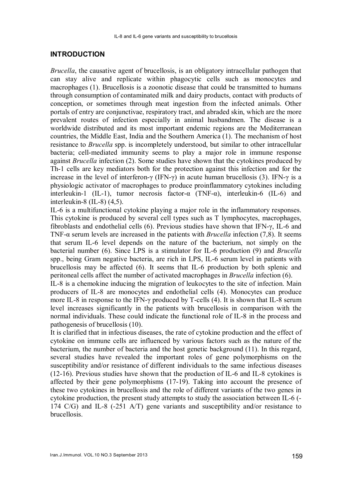#### INTRODUCTION

*Brucella*, the causative agent of brucellosis, is an obligatory intracellular pathogen that can stay alive and replicate within phagocytic cells such as monocytes and macrophages (1). Brucellosis is a zoonotic disease that could be transmitted to humans through consumption of contaminated milk and dairy products, contact with products of conception, or sometimes through meat ingestion from the infected animals. Other portals of entry are conjunctivae, respiratory tract, and abraded skin, which are the more prevalent routes of infection especially in animal husbandmen. The disease is a worldwide distributed and its most important endemic regions are the Mediterranean countries, the Middle East, India and the Southern America (1). The mechanism of host resistance to *Brucella* spp. is incompletely understood, but similar to other intracellular bacteria; cell-mediated immunity seems to play a major role in immune response against *Brucella* infection (2). Some studies have shown that the cytokines produced by Th-1 cells are key mediators both for the protection against this infection and for the increase in the level of interferon-γ (IFN-γ) in acute human brucellosis (3). IFN-γ is a physiologic activator of macrophages to produce proinflammatory cytokines including interleukin-1 (IL-1), tumor necrosis factor- $\alpha$  (TNF- $\alpha$ ), interleukin-6 (IL-6) and interleukin-8 (IL-8) (4,5).

IL-6 is a multifunctional cytokine playing a major role in the inflammatory responses. This cytokine is produced by several cell types such as T lymphocytes, macrophages, fibroblasts and endothelial cells (6). Previous studies have shown that IFN-γ, IL-6 and TNF-α serum levels are increased in the patients with *Brucella* infection (7,8). It seems that serum IL-6 level depends on the nature of the bacterium, not simply on the bacterial number (6). Since LPS is a stimulator for IL-6 production (9) and *Brucella* spp., being Gram negative bacteria, are rich in LPS, IL-6 serum level in patients with brucellosis may be affected (6). It seems that IL-6 production by both splenic and peritoneal cells affect the number of activated macrophages in *Brucella* infection (6).

IL-8 is a chemokine inducing the migration of leukocytes to the site of infection. Main producers of IL-8 are monocytes and endothelial cells (4). Monocytes can produce more IL-8 in response to the IFN-γ produced by T-cells (4). It is shown that IL-8 serum level increases significantly in the patients with brucellosis in comparison with the normal individuals. These could indicate the functional role of IL-8 in the process and pathogenesis of brucellosis (10).

It is clarified that in infectious diseases, the rate of cytokine production and the effect of cytokine on immune cells are influenced by various factors such as the nature of the bacterium, the number of bacteria and the host genetic background (11). In this regard, several studies have revealed the important roles of gene polymorphisms on the susceptibility and/or resistance of different individuals to the same infectious diseases (12-16). Previous studies have shown that the production of IL-6 and IL-8 cytokines is affected by their gene polymorphisms (17-19). Taking into account the presence of these two cytokines in brucellosis and the role of different variants of the two genes in cytokine production, the present study attempts to study the association between IL-6 (- 174 C/G) and IL-8 (-251 A/T) gene variants and susceptibility and/or resistance to **brucellosis**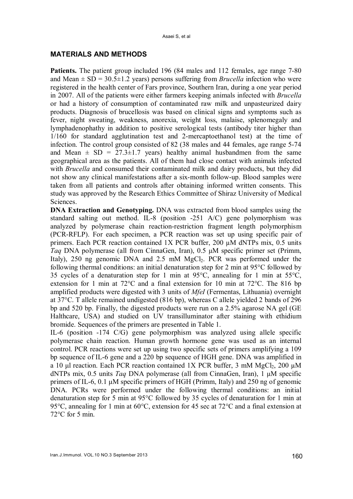#### MATERIALS AND METHODS

Patients. The patient group included 196 (84 males and 112 females, age range 7-80 and Mean  $\pm$  SD = 30.5 $\pm$ 1.2 years) persons suffering from *Brucella* infection who were registered in the health center of Fars province, Southern Iran, during a one year period in 2007. All of the patients were either farmers keeping animals infected with *Brucella* or had a history of consumption of contaminated raw milk and unpasteurized dairy products. Diagnosis of brucellosis was based on clinical signs and symptoms such as fever, night sweating, weakness, anorexia, weight loss, malaise, splenomegaly and lymphadenophathy in addition to positive serological tests (antibody titer higher than 1/160 for standard agglutination test and 2-mercaptoethanol test) at the time of infection. The control group consisted of 82 (38 males and 44 females, age range 5-74 and Mean  $\pm$  SD = 27.3 $\pm$ 1.7 years) healthy animal husbandmen from the same geographical area as the patients. All of them had close contact with animals infected with *Brucella* and consumed their contaminated milk and dairy products, but they did not show any clinical manifestations after a six-month follow-up. Blood samples were taken from all patients and controls after obtaining informed written consents. This study was approved by the Research Ethics Committee of Shiraz University of Medical Sciences.

DNA Extraction and Genotyping. DNA was extracted from blood samples using the standard salting out method. IL-8 (position -251 A/C) gene polymorphism was analyzed by polymerase chain reaction-restriction fragment length polymorphism (PCR-RFLP). For each specimen, a PCR reaction was set up using specific pair of primers. Each PCR reaction contained 1X PCR buffer, 200 µM dNTPs mix, 0.5 units *Taq* DNA polymerase (all from CinnaGen, Iran), 0.5 μM specific primer set (Primm, Italy),  $250$  ng genomic DNA and  $2.5$  mM MgCl<sub>2</sub>. PCR was performed under the following thermal conditions: an initial denaturation step for 2 min at 95°C followed by 35 cycles of a denaturation step for 1 min at 95°C, annealing for 1 min at 55°C, extension for 1 min at 72°C and a final extension for 10 min at 72°C. The 816 bp amplified products were digested with 3 units of *MfeI* (Fermentas, Lithuania) overnight at 37°C. T allele remained undigested (816 bp), whereas C allele yielded 2 bands of 296 bp and 520 bp. Finally, the digested products were run on a 2.5% agarose NA gel (GE Halthcare, USA) and studied on UV transilluminator after staining with ethidium bromide. Sequences of the primers are presented in Table 1.

IL-6 (position -174 C/G) gene polymorphism was analyzed using allele specific polymerase chain reaction. Human growth hormone gene was used as an internal control. PCR reactions were set up using two specific sets of primers amplifying a 109 bp sequence of IL-6 gene and a 220 bp sequence of HGH gene. DNA was amplified in a 10 μl reaction. Each PCR reaction contained 1X PCR buffer, 3 mM MgCl<sub>2</sub>, 200 μM dNTPs mix, 0.5 units *Taq* DNA polymerase (all from CinnaGen, Iran), 1 μM specific primers of IL-6, 0.1 μM specific primers of HGH (Primm, Italy) and 250 ng of genomic DNA. PCRs were performed under the following thermal conditions: an initial denaturation step for 5 min at 95°C followed by 35 cycles of denaturation for 1 min at 95°C, annealing for 1 min at 60°C, extension for 45 sec at 72°C and a final extension at 72°C for 5 min.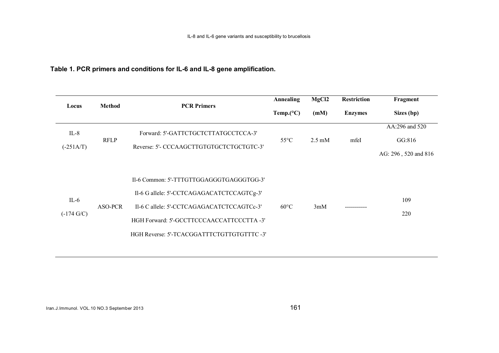# Table 1. PCR primers and conditions for IL-6 and IL-8 gene amplification.

| Locus                          | <b>Method</b> | <b>PCR Primers</b>                                                                                                                                                                                                              | <b>Annealing</b>    | MgCl <sub>2</sub> | <b>Restriction</b> | Fragment                                         |
|--------------------------------|---------------|---------------------------------------------------------------------------------------------------------------------------------------------------------------------------------------------------------------------------------|---------------------|-------------------|--------------------|--------------------------------------------------|
|                                |               |                                                                                                                                                                                                                                 | Temp. $(^{\circ}C)$ | (mM)              | <b>Enzymes</b>     | Sizes (bp)                                       |
| $IL-8$<br>$(-251A/T)$          | <b>RFLP</b>   | Forward: 5'-GATTCTGCTCTTATGCCTCCA-3'<br>Reverse: 5'- CCCAAGCTTGTGTGCTCTGCTGTC-3'                                                                                                                                                | $55^{\circ}$ C      | $2.5 \text{ mM}$  | mfeI               | AA:296 and 520<br>GG:816<br>AG: 296, 520 and 816 |
| $IL-6$<br>$(-174 \text{ G/C})$ | ASO-PCR       | Il-6 Common: 5'-TTTGTTGGAGGGTGAGGGTGG-3'<br>Il-6 G allele: 5'-CCTCAGAGACATCTCCAGTCg-3'<br>Il-6 C allele: 5'-CCTCAGAGACATCTCCAGTCc-3'<br>HGH Forward: 5'-GCCTTCCCAACCATTCCCTTA -3'<br>HGH Reverse: 5'-TCACGGATTTCTGTTGTGTTTC -3' | $60^{\circ}$ C      | 3mM               |                    | 109<br>220                                       |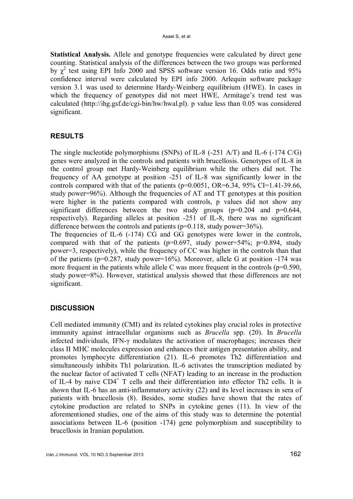Statistical Analysis. Allele and genotype frequencies were calculated by direct gene counting. Statistical analysis of the differences between the two groups was performed by  $\chi^2$  test using EPI Info 2000 and SPSS software version 16. Odds ratio and 95% confidence interval were calculated by EPI info 2000. Arlequin software package version 3.1 was used to determine Hardy-Weinberg equilibrium (HWE). In cases in which the frequency of genotypes did not meet HWE, Armitage's trend test was calculated (http://ihg.gsf.de/cgi-bin/hw/hwal.pl). p value less than 0.05 was considered significant.

## RESULTS

The single nucleotide polymorphisms (SNPs) of IL-8 (-251 A/T) and IL-6 (-174 C/G) genes were analyzed in the controls and patients with brucellosis. Genotypes of IL-8 in the control group met Hardy-Weinberg equilibrium while the others did not. The frequency of AA genotype at position -251 of IL-8 was significantly lower in the controls compared with that of the patients ( $p=0.0051$ , OR=6.34, 95% CI=1.41-39.66, study power=96%). Although the frequencies of AT and TT genotypes at this position were higher in the patients compared with controls, p values did not show any significant differences between the two study groups  $(p=0.204$  and  $p=0.644$ , respectively). Regarding alleles at position -251 of IL-8, there was no significant difference between the controls and patients ( $p=0.118$ , study power=36%). The frequencies of IL-6 (-174) CG and GG genotypes were lower in the controls,

compared with that of the patients ( $p=0.697$ , study power=54%;  $p=0.894$ , study power=3, respectively), while the frequency of CC was higher in the controls than that of the patients ( $p=0.287$ , study power=16%). Moreover, allele G at position -174 was more frequent in the patients while allele C was more frequent in the controls  $(p=0.590,$ study power=8%). However, statistical analysis showed that these differences are not significant.

## **DISCUSSION**

Cell mediated immunity (CMI) and its related cytokines play crucial roles in protective immunity against intracellular organisms such as *Brucella* spp. (20). In *Brucella* infected individuals, IFN-γ modulates the activation of macrophages; increases their class II MHC molecules expression and enhances their antigen presentation ability, and promotes lymphocyte differentiation (21). IL-6 promotes Th2 differentiation and simultaneously inhibits Th1 polarization. IL-6 activates the transcription mediated by the nuclear factor of activated T cells (NFAT) leading to an increase in the production of IL-4 by naive CD4<sup>+</sup> T cells and their differentiation into effector Th2 cells. It is shown that IL-6 has an anti-inflammatory activity (22) and its level increases in sera of patients with brucellosis (8). Besides, some studies have shown that the rates of cytokine production are related to SNPs in cytokine genes (11). In view of the aforementioned studies, one of the aims of this study was to determine the potential associations between IL-6 (position -174) gene polymorphism and susceptibility to brucellosis in Iranian population.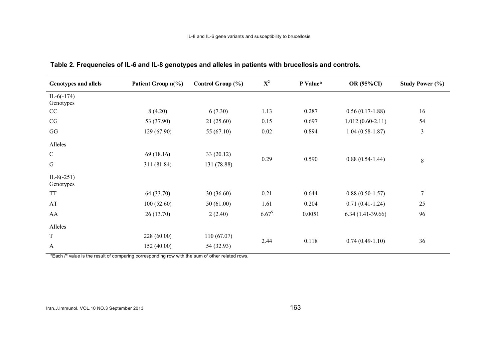| <b>Genotypes and allels</b> | Patient Group n(%) | Control Group $(\% )$ | $X^2$       | P Value* | <b>OR (95%CI)</b>   | <b>Study Power</b> $(\%)$ |
|-----------------------------|--------------------|-----------------------|-------------|----------|---------------------|---------------------------|
| IL-6 $(-174)$<br>Genotypes  |                    |                       |             |          |                     |                           |
| CC                          | 8(4.20)            | 6(7.30)               | 1.13        | 0.287    | $0.56(0.17-1.88)$   | 16                        |
| CG                          | 53 (37.90)         | 21 (25.60)            | 0.15        | 0.697    | $1.012(0.60-2.11)$  | 54                        |
| GG                          | 129(67.90)         | 55 $(67.10)$          | 0.02        | 0.894    | $1.04(0.58-1.87)$   | $\mathfrak{Z}$            |
| Alleles                     |                    |                       |             |          |                     |                           |
| $\mathsf C$                 | 69(18.16)          | 33(20.12)             |             |          |                     |                           |
| G                           | 311 (81.84)        | 131 (78.88)           | 0.29        | 0.590    | $0.88(0.54 - 1.44)$ | $8\,$                     |
| $IL-8(-251)$<br>Genotypes   |                    |                       |             |          |                     |                           |
| <b>TT</b>                   | 64 (33.70)         | 30(36.60)             | 0.21        | 0.644    | $0.88(0.50-1.57)$   | $\boldsymbol{7}$          |
| AT                          | 100(52.60)         | 50(61.00)             | 1.61        | 0.204    | $0.71(0.41-1.24)$   | 25                        |
| AA                          | 26(13.70)          | 2(2.40)               | $6.67^{\$}$ | 0.0051   | $6.34(1.41-39.66)$  | 96                        |
| Alleles                     |                    |                       |             |          |                     |                           |
| $\mathbf T$                 | 228(60.00)         | 110(67.07)            | 2.44        | 0.118    | $0.74(0.49-1.10)$   | 36                        |
| $\mathbf{A}$                | 152(40.00)         | 54 (32.93)            |             |          |                     |                           |

#### Table 2. Frequencies of IL-6 and IL-8 genotypes and alleles in patients with brucellosis and controls.

\*Each *P* value is the result of comparing corresponding row with the sum of other related rows.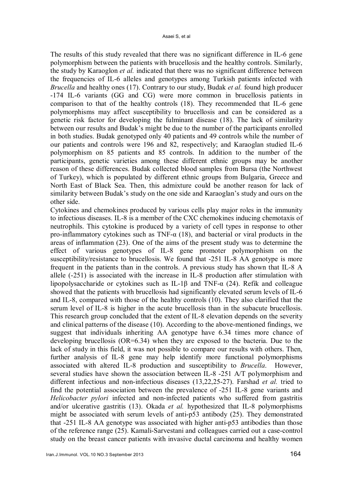The results of this study revealed that there was no significant difference in IL-6 gene polymorphism between the patients with brucellosis and the healthy controls. Similarly, the study by Karaoglon *et al.* indicated that there was no significant difference between the frequencies of IL-6 alleles and genotypes among Turkish patients infected with *Brucella* and healthy ones (17). Contrary to our study, Budak *et al.* found high producer -174 IL-6 variants (GG and CG) were more common in brucellosis patients in comparison to that of the healthy controls (18). They recommended that IL-6 gene polymorphisms may affect susceptibility to brucellosis and can be considered as a genetic risk factor for developing the fulminant disease (18). The lack of similarity between our results and Budak's might be due to the number of the participants enrolled in both studies. Budak genotyped only 40 patients and 49 controls while the number of our patients and controls were 196 and 82, respectively; and Karaoglan studied IL-6 polymorphism on 85 patients and 85 controls. In addition to the number of the participants, genetic varieties among these different ethnic groups may be another reason of these differences. Budak collected blood samples from Bursa (the Northwest of Turkey), which is populated by different ethnic groups from Bulgaria, Greece and North East of Black Sea. Then, this admixture could be another reason for lack of similarity between Budak's study on the one side and Karaoglan's study and ours on the other side.

Cytokines and chemokines produced by various cells play major roles in the immunity to infectious diseases. IL-8 is a member of the CXC chemokines inducing chemotaxis of neutrophils. This cytokine is produced by a variety of cell types in response to other pro-inflammatory cytokines such as TNF- $\alpha$  (18), and bacterial or viral products in the areas of inflammation (23). One of the aims of the present study was to determine the effect of various genotypes of IL-8 gene promoter polymorphism on the susceptibility/resistance to brucellosis. We found that -251 IL-8 AA genotype is more frequent in the patients than in the controls. A previous study has shown that IL-8 A allele (-251) is associated with the increase in IL-8 production after stimulation with lipopolysaccharide or cytokines such as IL-1β and TNF-α (24). Refik and colleague showed that the patients with brucellosis had significantly elevated serum levels of IL-6 and IL-8, compared with those of the healthy controls (10). They also clarified that the serum level of IL-8 is higher in the acute brucellosis than in the subacute brucellosis. This research group concluded that the extent of IL-8 elevation depends on the severity and clinical patterns of the disease (10). According to the above-mentioned findings, we suggest that individuals inheriting AA genotype have 6.34 times more chance of developing brucellosis (OR=6.34) when they are exposed to the bacteria. Due to the lack of study in this field, it was not possible to compare our results with others. Then, further analysis of IL-8 gene may help identify more functional polymorphisms associated with altered IL-8 production and susceptibility to *Brucella*. However, several studies have shown the association between IL-8 -251 A/T polymorphism and different infectious and non-infectious diseases (13,22,25-27). Farshad *et al.* tried to find the potential association between the prevalence of -251 IL-8 gene variants and *Helicobacter pylori* infected and non-infected patients who suffered from gastritis and/or ulcerative gastritis (13). Okada *et al.* hypothesized that IL-8 polymorphisms might be associated with serum levels of anti-p53 antibody (25). They demonstrated that -251 IL-8 AA genotype was associated with higher anti-p53 antibodies than those of the reference range (25). Kamali-Sarvestani and colleagues carried out a case-control study on the breast cancer patients with invasive ductal carcinoma and healthy women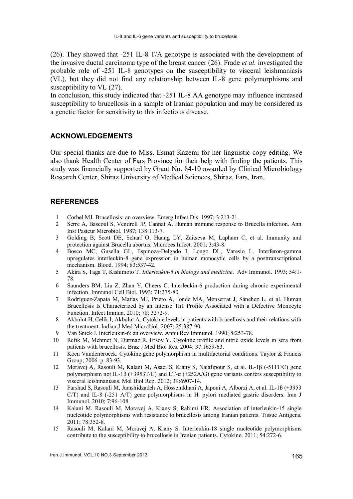(26). They showed that -251 IL-8 T/A genotype is associated with the development of the invasive ductal carcinoma type of the breast cancer (26). Frade *et al.* investigated the probable role of -251 IL-8 genotypes on the susceptibility to visceral leishmaniasis (VL), but they did not find any relationship between IL-8 gene polymorphisms and susceptibility to VL  $(27)$ .

In conclusion, this study indicated that -251 IL-8 AA genotype may influence increased susceptibility to brucellosis in a sample of Iranian population and may be considered as a genetic factor for sensitivity to this infectious disease.

# ACKNOWLEDGEMENTS

Our special thanks are due to Miss. Esmat Kazemi for her linguistic copy editing. We also thank Health Center of Fars Province for their help with finding the patients. This study was financially supported by Grant No. 84-10 awarded by Clinical Microbiology Research Center, Shiraz University of Medical Sciences, Shiraz, Fars, Iran.

## **REFERENCES**

- 1 Corbel MJ. Brucellosis: an overview. Emerg Infect Dis. 1997; 3:213-21.
- 2 Serre A, Bascoul S, Vendrell JP, Cannat A. Human immune response to Brucella infection. Ann Inst Pasteur Microbiol. 1987; 138:113-7.
- 3 Golding B, Scott DE, Scharf O, Huang LY, Zaitseva M, Lapham C, et al. Immunity and protection against Brucella abortus. Microbes Infect. 2001; 3:43-8.
- 4 Bosco MC, Gusella GL, Espinoza-Delgado I, Longo DL, Varesio L. Interferon-gamma upregulates interleukin-8 gene expression in human monocytic cells by a posttranscriptional mechanism. Blood. 1994; 83:537-42.
- 5 Akira S, Taga T, Kishimoto T. *Interleukin*-*6 in biology and medicine*. Adv Immunol. 1993; 54:1- 78.
- 6 Saunders BM, Liu Z, Zhan Y, Cheers C. Interleukin-6 production during chronic experimental infection. Immunol Cell Biol. 1993; 71:275-80.
- 7 Rodríguez-Zapata M, Matías MJ, Prieto A, Jonde MA, Monserrat J, Sánchez L, et al. Human Brucellosis Is Characterized by an Intense Th1 Profile Associated with a Defective Monocyte Function. Infect Immun. 2010; 78: 3272-9.
- 8 Akbulut H, Celik I, Akbulut A. Cytokine levels in patients with brucellosis and their relations with the treatment. Indian J Med Microbiol. 2007; 25:387-90.
- 9 Van Snick J. Interleukin-6: an overview. Annu Rev Immunol. 1990; 8:253-78.
- 10 Refik M, Mehmet N, Durmaz R, Ersoy Y. Cytokine profile and nitric oxide levels in sera from patients with brucellosis. Braz J Med Biol Res. 2004; 37:1659-63.
- 11 Koen Vandenbroeck. Cytokine gene polymorphism in multifactorial conditions. Taylor & Francis Group; 2006. p. 83-93.
- 12 Moravej A, Rasouli M, Kalani M, Asaei S, Kiany S, Najafipour S, et al. IL-1β (-511T/C) gene polymorphism not IL-1β (+3953T/C) and LT- $\alpha$  (+252A/G) gene variants confers susceptibility to visceral leishmaniasis. Mol Biol Rep. 2012; 39:6907-14.
- 13 Farshad S, Rasouli M, Jamshidzadeh A, Hosseinkhani A, Japoni A, Alborzi A, et al. IL-1ß (+3953 C/T) and IL-8 (-251 A/T) gene polymorphisms in H. pylori mediated gastric disorders. Iran J Immunol. 2010; 7:96-108.
- 14 Kalani M, Rasouli M, Moravej A, Kiany S, Rahimi HR. Association of interleukin-15 single nucleotide polymorphisms with resistance to brucellosis among Iranian patients. Tissue Antigens. 2011; 78:352-8.
- 15 Rasouli M, Kalani M, Moravej A, Kiany S. Interleukin-18 single nucleotide polymorphisms contribute to the susceptibility to brucellosis in Iranian patients. Cytokine. 2011; 54:272-6.